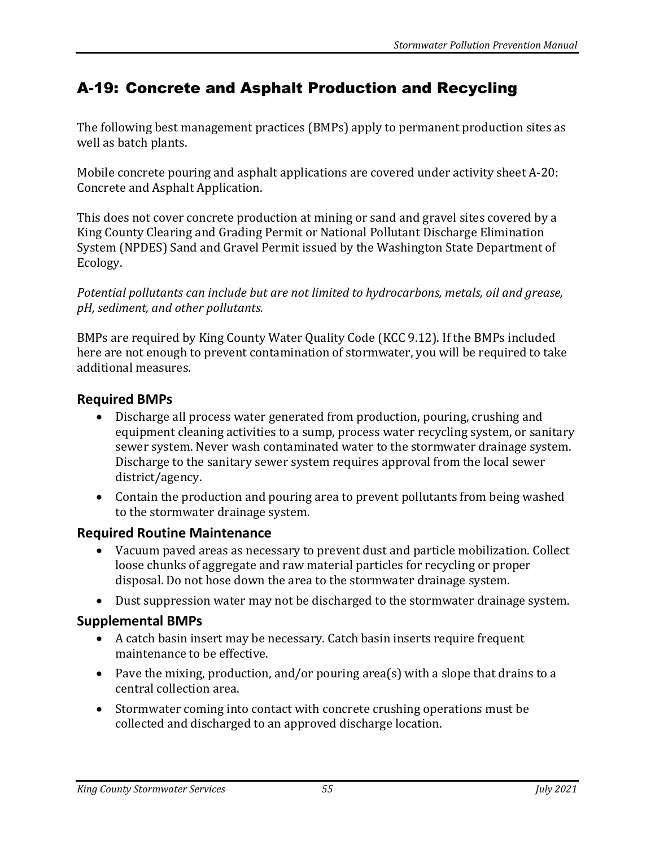# A-19: Concrete and Asphalt Production and Recycling

The following best management practices (BMPs) apply to permanent production sites as well as batch plants.

Mobile concrete pouring and asphalt applications are covered under activity sheet A-20: Concrete and Asphalt Application.

This does not cover concrete production at mining or sand and gravel sites covered by a King County Clearing and Grading Permit or National Pollutant Discharge Elimination System (NPDES) Sand and Gravel Permit issued by the Washington State Department of Ecology.

*Potential pollutants can include but are not limited to hydrocarbons, metals, oil and grease, pH, sediment, and other pollutants.*

BMPs are required by King County Water Quality Code (KCC 9.12). If the BMPs included here are not enough to prevent contamination of stormwater, you will be required to take additional measures.

### **Required BMPs**

- Discharge all process water generated from production, pouring, crushing and equipment cleaning activities to a sump, process water recycling system, or sanitary sewer system. Never wash contaminated water to the stormwater drainage system. Discharge to the sanitary sewer system requires approval from the local sewer district/agency.
- Contain the production and pouring area to prevent pollutants from being washed to the stormwater drainage system.

### **Required Routine Maintenance**

- Vacuum paved areas as necessary to prevent dust and particle mobilization. Collect loose chunks of aggregate and raw material particles for recycling or proper disposal. Do not hose down the area to the stormwater drainage system.
- Dust suppression water may not be discharged to the stormwater drainage system.

### **Supplemental BMPs**

- A catch basin insert may be necessary. Catch basin inserts require frequent maintenance to be effective.
- Pave the mixing, production, and/or pouring area(s) with a slope that drains to a central collection area.
- Stormwater coming into contact with concrete crushing operations must be collected and discharged to an approved discharge location.